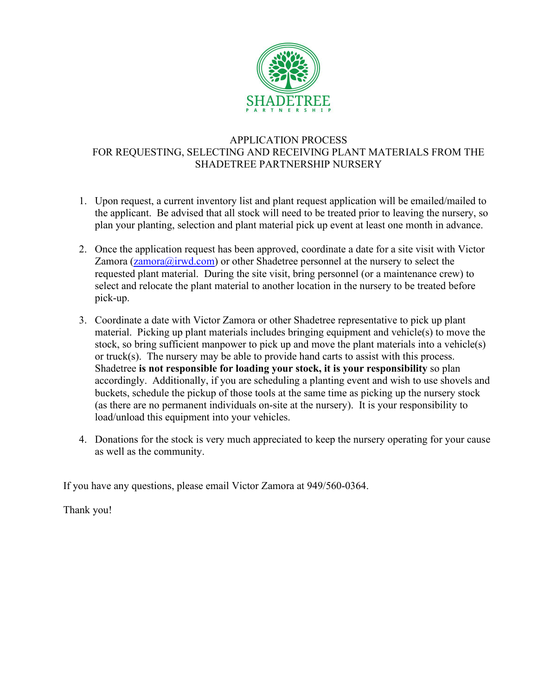

## APPLICATION PROCESS FOR REQUESTING, SELECTING AND RECEIVING PLANT MATERIALS FROM THE SHADETREE PARTNERSHIP NURSERY

- 1. Upon request, a current inventory list and plant request application will be emailed/mailed to the applicant. Be advised that all stock will need to be treated prior to leaving the nursery, so plan your planting, selection and plant material pick up event at least one month in advance.
- 2. Once the application request has been approved, coordinate a date for a site visit with Victor Zamora  $(zamora@irwd.com)$  or other Shadetree personnel at the nursery to select the requested plant material. During the site visit, bring personnel (or a maintenance crew) to select and relocate the plant material to another location in the nursery to be treated before pick-up.
- 3. Coordinate a date with Victor Zamora or other Shadetree representative to pick up plant material. Picking up plant materials includes bringing equipment and vehicle(s) to move the stock, so bring sufficient manpower to pick up and move the plant materials into a vehicle(s) or truck(s). The nursery may be able to provide hand carts to assist with this process. Shadetree **is not responsible for loading your stock, it is your responsibility** so plan accordingly. Additionally, if you are scheduling a planting event and wish to use shovels and buckets, schedule the pickup of those tools at the same time as picking up the nursery stock (as there are no permanent individuals on-site at the nursery). It is your responsibility to load/unload this equipment into your vehicles.
- 4. Donations for the stock is very much appreciated to keep the nursery operating for your cause as well as the community.

If you have any questions, please email Victor Zamora at 949/560-0364.

Thank you!